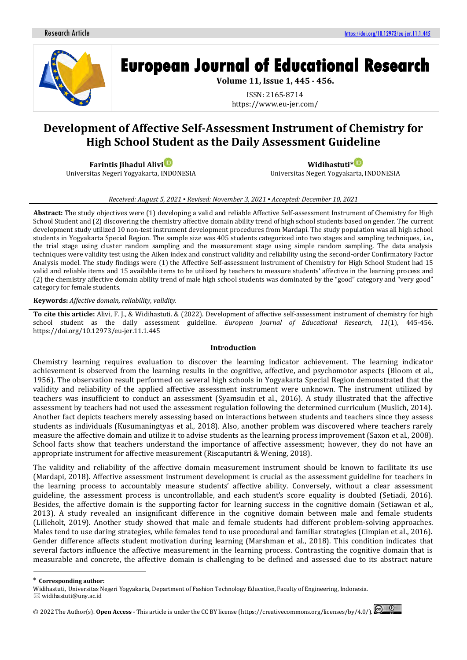

# **European Journal of Educational Research**

**Volume 11, Issue 1, 445 - 456.**

ISSN: 2165-8714 https://www.eu-jer.com/

# **Development of Affective Self-Assessment Instrument of Chemistry for High School Student as the Daily Assessment Guideline**

**Farintis Jihadul Alivi** Universitas Negeri Yogyakarta, INDONESIA

**Widihastuti[\\*](https://orcid.org/0000-0001-8242-658X)** Universitas Negeri Yogyakarta, INDONESIA

## *Received: August 5, 2021 ▪ Revised: November 3, 2021 ▪ Accepted: December 10, 2021*

**Abstract:** The study objectives were (1) developing a valid and reliable Affective Self-assessment Instrument of Chemistry for High School Student and (2) discovering the chemistry affective domain ability trend of high school students based on gender. The current development study utilized 10 non-test instrument development procedures from Mardapi. The study population was all high school students in Yogyakarta Special Region. The sample size was 405 students categorized into two stages and sampling techniques, i.e., the trial stage using cluster random sampling and the measurement stage using simple random sampling. The data analysis techniques were validity test using the Aiken index and construct validity and reliability using the second-order Confirmatory Factor Analysis model. The study findings were (1) the Affective Self-assessment Instrument of Chemistry for High School Student had 15 valid and reliable items and 15 available items to be utilized by teachers to measure students' affective in the learning process and (2) the chemistry affective domain ability trend of male high school students was dominated by the "good" category and "very good" category for female students.

#### **Keywords:** *Affective domain, reliability, validity.*

**To cite this article:** Alivi, F. J., & Widihastuti. & (2022). Development of affective self-assessment instrument of chemistry for high school student as the daily assessment guideline. *European Journal of Educational Research*, *11*(1), 445-456. https://doi.org/10.12973/eu-jer.11.1.445

### **Introduction**

Chemistry learning requires evaluation to discover the learning indicator achievement. The learning indicator achievement is observed from the learning results in the cognitive, affective, and psychomotor aspects (Bloom et al., 1956). The observation result performed on several high schools in Yogyakarta Special Region demonstrated that the validity and reliability of the applied affective assessment instrument were unknown. The instrument utilized by teachers was insufficient to conduct an assessment (Syamsudin et al., 2016). A study illustrated that the affective assessment by teachers had not used the assessment regulation following the determined curriculum (Muslich, 2014). Another fact depicts teachers merely assessing based on interactions between students and teachers since they assess students as individuals (Kusumaningtyas et al., 2018). Also, another problem was discovered where teachers rarely measure the affective domain and utilize it to advise students as the learning process improvement (Saxon et al., 2008). School facts show that teachers understand the importance of affective assessment; however, they do not have an appropriate instrument for affective measurement (Riscaputantri & Wening, 2018).

The validity and reliability of the affective domain measurement instrument should be known to facilitate its use (Mardapi, 2018). Affective assessment instrument development is crucial as the assessment guideline for teachers in the learning process to accountably measure students' affective ability. Conversely, without a clear assessment guideline, the assessment process is uncontrollable, and each student's score equality is doubted (Setiadi, 2016). Besides, the affective domain is the supporting factor for learning success in the cognitive domain (Setiawan et al., 2013). A study revealed an insignificant difference in the cognitive domain between male and female students (Lilleholt, 2019). Another study showed that male and female students had different problem-solving approaches. Males tend to use daring strategies, while females tend to use procedural and familiar strategies (Cimpian et al., 2016). Gender difference affects student motivation during learning (Marshman et al., 2018). This condition indicates that several factors influence the affective measurement in the learning process. Contrasting the cognitive domain that is measurable and concrete, the affective domain is challenging to be defined and assessed due to its abstract nature

<sup>\*</sup> **Corresponding author:**

Widihastuti, Universitas Negeri Yogyakarta, Department of Fashion Technology Education, Faculty of Engineering, Indonesia.

 $\boxtimes$  widihastuti@uny.ac.id

<sup>©</sup> 2022 The Author(s). **Open Access** - This article is under the CC BY license [\(https://creativecommons.org/licenses/by/4.0/\)](https://creativecommons.org/licenses/by/4.0/).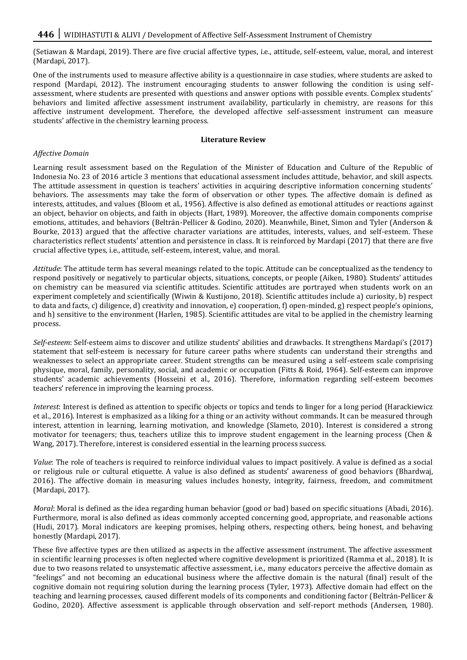(Setiawan & Mardapi, 2019). There are five crucial affective types, i.e., attitude, self-esteem, value, moral, and interest (Mardapi, 2017).

One of the instruments used to measure affective ability is a questionnaire in case studies, where students are asked to respond (Mardapi, 2012). The instrument encouraging students to answer following the condition is using selfassessment, where students are presented with questions and answer options with possible events. Complex students' behaviors and limited affective assessment instrument availability, particularly in chemistry, are reasons for this affective instrument development. Therefore, the developed affective self-assessment instrument can measure students' affective in the chemistry learning process.

### **Literature Review**

# *Affective Domain*

Learning result assessment based on the Regulation of the Minister of Education and Culture of the Republic of Indonesia No. 23 of 2016 article 3 mentions that educational assessment includes attitude, behavior, and skill aspects. The attitude assessment in question is teachers' activities in acquiring descriptive information concerning students' behaviors. The assessments may take the form of observation or other types. The affective domain is defined as interests, attitudes, and values (Bloom et al., 1956). Affective is also defined as emotional attitudes or reactions against an object, behavior on objects, and faith in objects (Hart, 1989). Moreover, the affective domain components comprise emotions, attitudes, and behaviors (Beltrán-Pellicer & Godino, 2020). Meanwhile, Binet, Simon and Tyler (Anderson & Bourke, 2013) argued that the affective character variations are attitudes, interests, values, and self-esteem. These characteristics reflect students' attention and persistence in class. It is reinforced by Mardapi (2017) that there are five crucial affective types, i.e., attitude, self-esteem, interest, value, and moral.

*Attitude*: The attitude term has several meanings related to the topic. Attitude can be conceptualized as the tendency to respond positively or negatively to particular objects, situations, concepts, or people (Aiken, 1980). Students' attitudes on chemistry can be measured via scientific attitudes. Scientific attitudes are portrayed when students work on an experiment completely and scientifically (Wiwin & Kustijono, 2018). Scientific attitudes include a) curiosity, b) respect to data and facts, c) diligence, d) creativity and innovation, e) cooperation, f) open-minded, g) respect people's opinions, and h) sensitive to the environment (Harlen, 1985). Scientific attitudes are vital to be applied in the chemistry learning process.

*Self-esteem*: Self-esteem aims to discover and utilize students' abilities and drawbacks. It strengthens Mardapi's (2017) statement that self-esteem is necessary for future career paths where students can understand their strengths and weaknesses to select an appropriate career. Student strengths can be measured using a self-esteem scale comprising physique, moral, family, personality, social, and academic or occupation (Fitts & Roid, 1964). Self-esteem can improve students' academic achievements (Hosseini et al., 2016). Therefore, information regarding self-esteem becomes teachers' reference in improving the learning process.

*Interest*: Interest is defined as attention to specific objects or topics and tends to linger for a long period (Harackiewicz et al., 2016). Interest is emphasized as a liking for a thing or an activity without commands. It can be measured through interest, attention in learning, learning motivation, and knowledge (Slameto, 2010). Interest is considered a strong motivator for teenagers; thus, teachers utilize this to improve student engagement in the learning process (Chen & Wang, 2017). Therefore, interest is considered essential in the learning process success.

*Value*: The role of teachers is required to reinforce individual values to impact positively. A value is defined as a social or religious rule or cultural etiquette. A value is also defined as students' awareness of good behaviors (Bhardwaj, 2016). The affective domain in measuring values includes honesty, integrity, fairness, freedom, and commitment (Mardapi, 2017).

*Moral*: Moral is defined as the idea regarding human behavior (good or bad) based on specific situations (Abadi, 2016). Furthermore, moral is also defined as ideas commonly accepted concerning good, appropriate, and reasonable actions (Hudi, 2017). Moral indicators are keeping promises, helping others, respecting others, being honest, and behaving honestly (Mardapi, 2017).

These five affective types are then utilized as aspects in the affective assessment instrument. The affective assessment in scientific learning processes is often neglected where cognitive development is prioritized (Ramma et al., 2018). It is due to two reasons related to unsystematic affective assessment, i.e., many educators perceive the affective domain as "feelings" and not becoming an educational business where the affective domain is the natural (final) result of the cognitive domain not requiring solution during the learning process (Tyler, 1973). Affective domain had effect on the teaching and learning processes, caused different models of its components and conditioning factor (Beltrán-Pellicer & Godino, 2020). Affective assessment is applicable through observation and self-report methods (Andersen, 1980).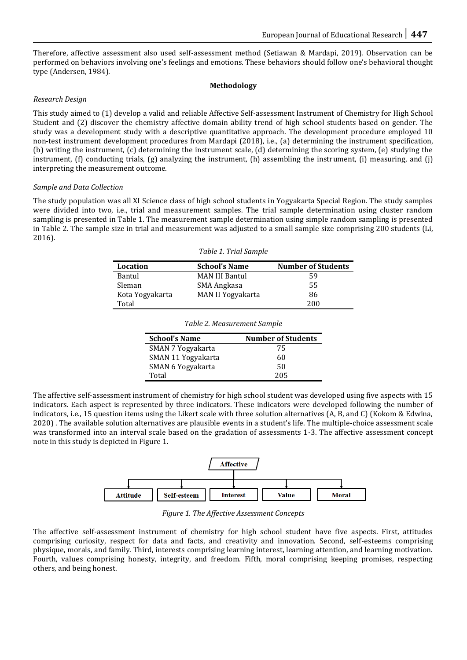Therefore, affective assessment also used self-assessment method (Setiawan & Mardapi, 2019). Observation can be performed on behaviors involving one's feelings and emotions. These behaviors should follow one's behavioral thought type (Andersen, 1984).

# **Methodology**

# *Research Design*

This study aimed to (1) develop a valid and reliable Affective Self-assessment Instrument of Chemistry for High School Student and (2) discover the chemistry affective domain ability trend of high school students based on gender. The study was a development study with a descriptive quantitative approach. The development procedure employed 10 non-test instrument development procedures from Mardapi (2018), i.e., (a) determining the instrument specification, (b) writing the instrument, (c) determining the instrument scale, (d) determining the scoring system, (e) studying the instrument, (f) conducting trials, (g) analyzing the instrument, (h) assembling the instrument, (i) measuring, and (j) interpreting the measurement outcome.

# *Sample and Data Collection*

The study population was all XI Science class of high school students in Yogyakarta Special Region. The study samples were divided into two, i.e., trial and measurement samples. The trial sample determination using cluster random sampling is presented in Table 1. The measurement sample determination using simple random sampling is presented in Table 2. The sample size in trial and measurement was adjusted to a small sample size comprising 200 students (Li, 2016).

*Table 1. Trial Sample*

| Location        | <b>School's Name</b>  | <b>Number of Students</b> |
|-----------------|-----------------------|---------------------------|
| Bantul          | <b>MAN III Bantul</b> | 59                        |
| Sleman          | SMA Angkasa           | 55                        |
| Kota Yogyakarta | MAN II Yogyakarta     | 86                        |
| Total           |                       | 200                       |

| ---------       |                   |     |
|-----------------|-------------------|-----|
| Bantul          | MAN III Bantul    | 59  |
| Sleman          | SMA Angkasa       | 55  |
| Kota Yogyakarta | MAN II Yogyakarta | 86  |
| Total           |                   | 200 |
|                 |                   |     |

| <b>School's Name</b> | <b>Number of Students</b> |
|----------------------|---------------------------|
| SMAN 7 Yogyakarta    | 75                        |
| SMAN 11 Yogyakarta   | 60                        |
| SMAN 6 Yogyakarta    | 50                        |
| Total                | 205                       |

*Table 2. Measurement Sample*

The affective self-assessment instrument of chemistry for high school student was developed using five aspects with 15 indicators. Each aspect is represented by three indicators. These indicators were developed following the number of indicators, i.e., 15 question items using the Likert scale with three solution alternatives (A, B, and C) (Kokom & Edwina, 2020) . The available solution alternatives are plausible events in a student's life. The multiple-choice assessment scale was transformed into an interval scale based on the gradation of assessments 1-3. The affective assessment concept note in this study is depicted in Figure 1.



*Figure 1. The Affective Assessment Concepts*

The affective self-assessment instrument of chemistry for high school student have five aspects. First, attitudes comprising curiosity, respect for data and facts, and creativity and innovation. Second, self-esteems comprising physique, morals, and family. Third, interests comprising learning interest, learning attention, and learning motivation. Fourth, values comprising honesty, integrity, and freedom. Fifth, moral comprising keeping promises, respecting others, and being honest.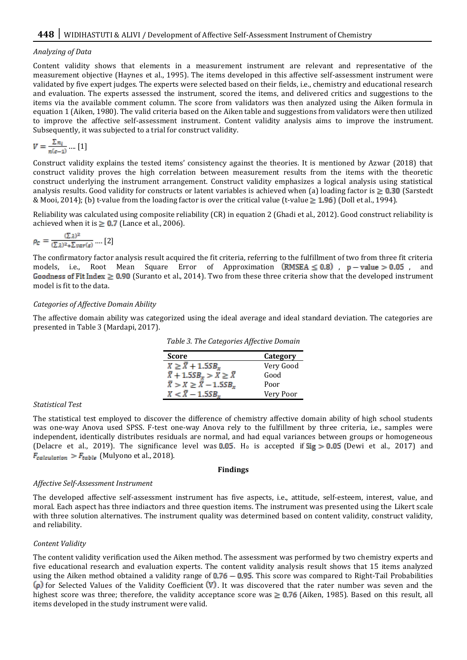# *Analyzing of Data*

Content validity shows that elements in a measurement instrument are relevant and representative of the measurement objective (Haynes et al., 1995). The items developed in this affective self-assessment instrument were validated by five expert judges. The experts were selected based on their fields, i.e., chemistry and educational research and evaluation. The experts assessed the instrument, scored the items, and delivered critics and suggestions to the items via the available comment column. The score from validators was then analyzed using the Aiken formula in equation 1 (Aiken, 1980). The valid criteria based on the Aiken table and suggestions from validators were then utilized to improve the affective self-assessment instrument. Content validity analysis aims to improve the instrument. Subsequently, it was subjected to a trial for construct validity.

$$
V = \frac{\sum n_i}{n(c-1)} \dots [1]
$$

Construct validity explains the tested items' consistency against the theories. It is mentioned by Azwar (2018) that construct validity proves the high correlation between measurement results from the items with the theoretic construct underlying the instrument arrangement. Construct validity emphasizes a logical analysis using statistical analysis results. Good validity for constructs or latent variables is achieved when (a) loading factor is  $\geq 0.30$  (Sarstedt & Mooi, 2014); (b) t-value from the loading factor is over the critical value (t-value  $\geq 1.96$ ) (Doll et al., 1994).

Reliability was calculated using composite reliability (CR) in equation 2 (Ghadi et al., 2012). Good construct reliability is achieved when it is  $\geq 0.7$  (Lance et al., 2006).

$$
\rho_C = \frac{(\Sigma \lambda)^2}{(\Sigma \lambda)^2 + \Sigma \operatorname{var}(\varepsilon)} \dots [2]
$$

The confirmatory factor analysis result acquired the fit criteria, referring to the fulfillment of two from three fit criteria models, i.e., Root Mean Square Error of Approximation  $(RMSEA \le 0.8)$ , p - value > 0.05, and Goodness of Fit Index  $\geq 0.90$  (Suranto et al., 2014). Two from these three criteria show that the developed instrument model is fit to the data.

# *Categories of Affective Domain Ability*

The affective domain ability was categorized using the ideal average and ideal standard deviation. The categories are presented in Table 3 (Mardapi, 2017).

| <b>Score</b>                                   | Category  |
|------------------------------------------------|-----------|
| $X \geq \overline{X} + 1.5SB_x$                | Very Good |
| $\overline{X} + 1.5SB_x > X \geq \overline{X}$ | Good      |
| $\bar{X} > X \geq \bar{X} - 1.5SB_x$           | Poor      |
| $X < \overline{X} - 1.5SB$                     | Very Poor |

*Table 3. The Categories Affective Domain*

#### *Statistical Test*

The statistical test employed to discover the difference of chemistry affective domain ability of high school students was one-way Anova used SPSS. F-test one-way Anova rely to the fulfillment by three criteria, i.e., samples were independent, identically distributes residuals are normal, and had equal variances between groups or homogeneous (Delacre et al., 2019). The significance level was 0.05. H<sub>0</sub> is accepted if  $\text{Sig} > 0.05$  (Dewi et al., 2017) and  $F_{calculation}$  >  $F_{table}$  (Mulyono et al., 2018).

#### **Findings**

#### *Affective Self-Assessment Instrument*

The developed affective self-assessment instrument has five aspects, i.e., attitude, self-esteem, interest, value, and moral. Each aspect has three indiactors and three question items. The instrument was presented using the Likert scale with three solution alternatives. The instrument quality was determined based on content validity, construct validity, and reliability.

# *Content Validity*

The content validity verification used the Aiken method. The assessment was performed by two chemistry experts and five educational research and evaluation experts. The content validity analysis result shows that 15 items analyzed using the Aiken method obtained a validity range of  $0.76 - 0.95$ . This score was compared to Right-Tail Probabilities ( $\rho$ ) for Selected Values of the Validity Coefficient (V). It was discovered that the rater number was seven and the highest score was three; therefore, the validity acceptance score was  $\geq 0.76$  (Aiken, 1985). Based on this result, all items developed in the study instrument were valid.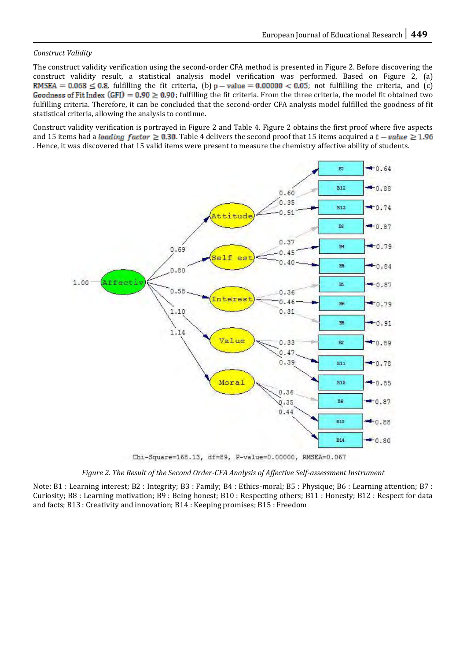# *Construct Validity*

The construct validity verification using the second-order CFA method is presented in Figure 2. Before discovering the construct validity result, a statistical analysis model verification was performed. Based on Figure 2, (a) RMSEA = 0.068  $\leq$  0.8, fulfilling the fit criteria, (b)  $p - value = 0.00000 < 0.05$ ; not fulfilling the criteria, and (c) Goodness of Fit Index (GFI) =  $0.90 \ge 0.90$ ; fulfilling the fit criteria. From the three criteria, the model fit obtained two fulfilling criteria. Therefore, it can be concluded that the second-order CFA analysis model fulfilled the goodness of fit statistical criteria, allowing the analysis to continue.

Construct validity verification is portrayed in Figure 2 and Table 4. Figure 2 obtains the first proof where five aspects and 15 items had a *loading factor*  $\geq$  0.30. Table 4 delivers the second proof that 15 items acquired a  $t - value \geq 1.96$ . Hence, it was discovered that 15 valid items were present to measure the chemistry affective ability of students.



Chi-Square=168.13, df=89, P-value=0.00000, RMSEA=0.067

*Figure 2. The Result of the Second Order-CFA Analysis of Affective Self-assessment Instrument*

Note: B1 : Learning interest; B2 : Integrity; B3 : Family; B4 : Ethics-moral; B5 : Physique; B6 : Learning attention; B7 : Curiosity; B8 : Learning motivation; B9 : Being honest; B10 : Respecting others; B11 : Honesty; B12 : Respect for data and facts; B13 : Creativity and innovation; B14 : Keeping promises; B15 : Freedom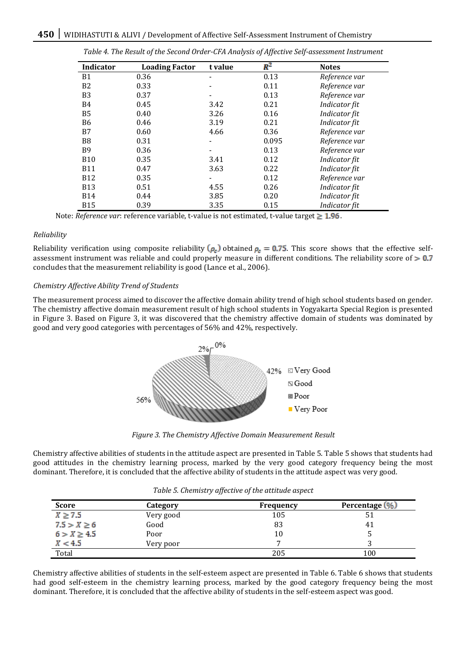| Tubic 1. The Result of the Second Oracle of ITImarysis of Ifficence Self assessment mistrament |                       |         |       |               |
|------------------------------------------------------------------------------------------------|-----------------------|---------|-------|---------------|
| Indicator                                                                                      | <b>Loading Factor</b> | t value | $R^2$ | <b>Notes</b>  |
| <b>B1</b>                                                                                      | 0.36                  |         | 0.13  | Reference var |
| B <sub>2</sub>                                                                                 | 0.33                  |         | 0.11  | Reference var |
| B <sub>3</sub>                                                                                 | 0.37                  |         | 0.13  | Reference var |
| <b>B4</b>                                                                                      | 0.45                  | 3.42    | 0.21  | Indicator fit |
| B <sub>5</sub>                                                                                 | 0.40                  | 3.26    | 0.16  | Indicator fit |
| B <sub>6</sub>                                                                                 | 0.46                  | 3.19    | 0.21  | Indicator fit |
| B7                                                                                             | 0.60                  | 4.66    | 0.36  | Reference var |
| B <sub>8</sub>                                                                                 | 0.31                  |         | 0.095 | Reference var |
| <b>B</b> 9                                                                                     | 0.36                  |         | 0.13  | Reference var |
| <b>B10</b>                                                                                     | 0.35                  | 3.41    | 0.12  | Indicator fit |
| <b>B11</b>                                                                                     | 0.47                  | 3.63    | 0.22  | Indicator fit |
| <b>B12</b>                                                                                     | 0.35                  |         | 0.12  | Reference var |
| <b>B13</b>                                                                                     | 0.51                  | 4.55    | 0.26  | Indicator fit |
| <b>B14</b>                                                                                     | 0.44                  | 3.85    | 0.20  | Indicator fit |
| <b>B15</b>                                                                                     | 0.39                  | 3.35    | 0.15  | Indicator fit |

*Table 4. The Result of the Second Order-CFA Analysis of Affective Self-assessment Instrument*

Note: *Reference var*: reference variable, t-value is not estimated, t-value target  $\geq 1.96$ .

## *Reliability*

Reliability verification using composite reliability  $(\rho_c)$  obtained  $\rho_c = 0.75$ . This score shows that the effective selfassessment instrument was reliable and could properly measure in different conditions. The reliability score of  $> 0.7$ concludes that the measurement reliability is good (Lance et al., 2006).

# *Chemistry Affective Ability Trend of Students*

The measurement process aimed to discover the affective domain ability trend of high school students based on gender. The chemistry affective domain measurement result of high school students in Yogyakarta Special Region is presented in Figure 3. Based on Figure 3, it was discovered that the chemistry affective domain of students was dominated by good and very good categories with percentages of 56% and 42%, respectively.



*Figure 3. The Chemistry Affective Domain Measurement Result*

Chemistry affective abilities of students in the attitude aspect are presented in Table 5. Table 5 shows that students had good attitudes in the chemistry learning process, marked by the very good category frequency being the most dominant. Therefore, it is concluded that the affective ability of students in the attitude aspect was very good.

| <b>Score</b>    | Category  | <b>Frequency</b> | Percentage (%) |
|-----------------|-----------|------------------|----------------|
| $X \geq 7.5$    | Very good | 105              |                |
| $7.5 > X \ge 6$ | Good      | 83               | 41             |
| $6 > X \ge 4.5$ | Poor      | 10               |                |
| X < 4.5         | Very poor | -                |                |
| Total           |           | 205              | 100            |

Chemistry affective abilities of students in the self-esteem aspect are presented in Table 6. Table 6 shows that students had good self-esteem in the chemistry learning process, marked by the good category frequency being the most dominant. Therefore, it is concluded that the affective ability of students in the self-esteem aspect was good.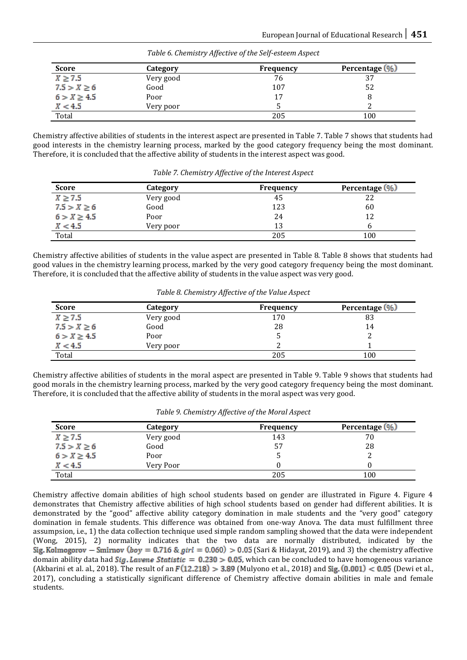| <b>Score</b>    | Category  | Frequency | Percentage (%) |
|-----------------|-----------|-----------|----------------|
| $X \geq 7.5$    | Very good | 76        | 37             |
| $7.5 > X \ge 6$ | Good      | 107       | 52             |
| $6 > X \ge 4.5$ | Poor      | 17        |                |
| X < 4.5         | Very poor |           |                |
| Total           |           | 205       | 100            |

*Table 6. Chemistry Affective of the Self-esteem Aspect*

Chemistry affective abilities of students in the interest aspect are presented in Table 7. Table 7 shows that students had good interests in the chemistry learning process, marked by the good category frequency being the most dominant. Therefore, it is concluded that the affective ability of students in the interest aspect was good.

| <b>Score</b>    | Category  | <b>Frequency</b> | Percentage (%) |
|-----------------|-----------|------------------|----------------|
| $X \geq 7.5$    | Very good | 45               | 22             |
| $7.5 > X \ge 6$ | Good      | 123              | 60             |
| $6 > X \ge 4.5$ | Poor      | 24               | 12             |
| X < 4.5         | Very poor | 13               |                |
| Total           |           | 205              | 100            |

*Table 7. Chemistry Affective of the Interest Aspect*

Chemistry affective abilities of students in the value aspect are presented in Table 8. Table 8 shows that students had good values in the chemistry learning process, marked by the very good category frequency being the most dominant. Therefore, it is concluded that the affective ability of students in the value aspect was very good.

|  | Table 8. Chemistry Affective of the Value Aspect |  |  |  |  |
|--|--------------------------------------------------|--|--|--|--|
|--|--------------------------------------------------|--|--|--|--|

| <b>Score</b>    | Category  | Frequency | Percentage (%) |
|-----------------|-----------|-----------|----------------|
| $X \geq 7.5$    | Very good | 170       | 83             |
| $7.5 > X \ge 6$ | Good      | 28        | 14             |
| $6 > X \ge 4.5$ | Poor      |           |                |
| X < 4.5         | Very poor |           |                |
| Total           |           | 205       | 100            |

Chemistry affective abilities of students in the moral aspect are presented in Table 9. Table 9 shows that students had good morals in the chemistry learning process, marked by the very good category frequency being the most dominant. Therefore, it is concluded that the affective ability of students in the moral aspect was very good.

| <b>Score</b>     | Category  | <b>Frequency</b> | Percentage (%) |
|------------------|-----------|------------------|----------------|
| $X \geq 7.5$     | Very good | 143              | 70             |
| $7.5 > X \ge 6$  | Good      | 57               | 28             |
| $6 > X \geq 4.5$ | Poor      |                  |                |
| X < 4.5          | Very Poor |                  |                |
| Total            |           | 205              | 100            |

Chemistry affective domain abilities of high school students based on gender are illustrated in Figure 4. Figure 4 demonstrates that Chemistry affective abilities of high school students based on gender had different abilities. It is demonstrated by the "good" affective ability category domination in male students and the "very good" category domination in female students. This difference was obtained from one-way Anova*.* The data must fulfillment three assumpsion, i.e., 1) the data collection technique used simple random sampling showed that the data were independent (Wong, 2015), 2) normality indicates that the two data are normally distributed, indicated by the Sig. Kolmogorov - Smirnov (boy = 0.716 & girl = 0.060) > 0.05 (Sari & Hidayat, 2019), and 3) the chemistry affective domain ability data had *Sig. Lavene Statistic* =  $0.230 > 0.05$ , which can be concluded to have homogeneous variance (Akbarini et al. al., 2018). The result of an  $F(12.218) > 3.89$  (Mulyono et al., 2018) and Sig. (0.001) < 0.05 (Dewi et al., 2017), concluding a statistically significant difference of Chemistry affective domain abilities in male and female students.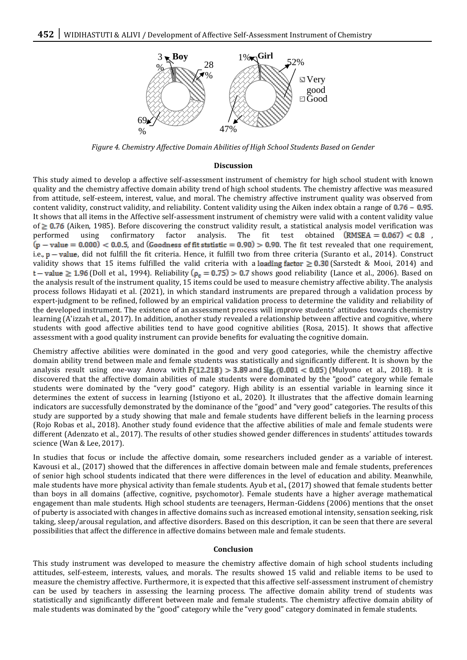

*Figure 4. Chemistry Affective Domain Abilities of High School Students Based on Gender*

#### **Discussion**

This study aimed to develop a affective self-assessment instrument of chemistry for high school student with known quality and the chemistry affective domain ability trend of high school students. The chemistry affective was measured from attitude, self-esteem, interest, value, and moral. The chemistry affective instrument quality was observed from content validity, construct validity, and reliability. Content validity using the Aiken index obtain a range of  $0.76 - 0.95$ . It shows that all items in the Affective self-assessment instrument of chemistry were valid with a content validity value of  $\geq$  0.76 (Aiken, 1985). Before discovering the construct validity result, a statistical analysis model verification was performed using confirmatory factor analysis. The fit test obtained  $(RMSEA = 0.067) < 0.8$ ,  $(p - value = 0.000) < 0.0.5$ , and (Goodness of fit ststistic = 0.90) > 0.90. The fit test revealed that one requirement, i.e.,  $p - value$ , did not fulfill the fit criteria. Hence, it fulfill two from three criteria (Suranto et al., 2014). Construct validity shows that 15 items fulfilled the valid criteria with a loading factor  $\geq 0.30$  (Sarstedt & Mooi, 2014) and  $t -$  value  $\geq$  1.96 (Doll et al., 1994). Reliability ( $\rho_c$  = 0.75) > 0.7 shows good reliability (Lance et al., 2006). Based on the analysis result of the instrument quality, 15 items could be used to measure chemistry affective ability. The analysis process follows Hidayati et al. (2021), in which standard instruments are prepared through a validation process by expert-judgment to be refined, followed by an empirical validation process to determine the validity and reliability of the developed instrument. The existence of an assessment process will improve students' attitudes towards chemistry learning (A'izzah et al., 2017). In addition, another study revealed a relationship between affective and cognitive, where students with good affective abilities tend to have good cognitive abilities (Rosa, 2015). It shows that affective assessment with a good quality instrument can provide benefits for evaluating the cognitive domain.

Chemistry affective abilities were dominated in the good and very good categories, while the chemistry affective domain ability trend between male and female students was statistically and significantly different. It is shown by the analysis result using one-way Anova with  $F(12.218) > 3.89$  and Sig. (0.001 < 0.05) (Mulyono et al., 2018). It is discovered that the affective domain abilities of male students were dominated by the "good" category while female students were dominated by the "very good" category. High ability is an essential variable in learning since it determines the extent of success in learning (Istiyono et al., 2020). It illustrates that the affective domain learning indicators are successfully demonstrated by the dominance of the "good" and "very good" categories. The results of this study are supported by a study showing that male and female students have different beliefs in the learning process (Rojo Robas et al., 2018). Another study found evidence that the affective abilities of male and female students were different (Adenzato et al., 2017). The results of other studies showed gender differences in students' attitudes towards science (Wan & Lee, 2017).

In studies that focus or include the affective domain, some researchers included gender as a variable of interest. Kavousi et al., (2017) showed that the differences in affective domain between male and female students, preferences of senior high school students indicated that there were differences in the level of education and ability. Meanwhile, male students have more physical activity than female students. Ayub et al., (2017) showed that female students better than boys in all domains (affective, cognitive, psychomotor). Female students have a higher average mathematical engagement than male students. High school students are teenagers, Herman-Giddens (2006) mentions that the onset of puberty is associated with changes in affective domains such as increased emotional intensity, sensation seeking, risk taking, sleep/arousal regulation, and affective disorders. Based on this description, it can be seen that there are several possibilities that affect the difference in affective domains between male and female students.

#### **Conclusion**

This study instrument was developed to measure the chemistry affective domain of high school students including attitudes, self-esteem, interests, values, and morals. The results showed 15 valid and reliable items to be used to measure the chemistry affective. Furthermore, it is expected that this affective self-assessment instrument of chemistry can be used by teachers in assessing the learning process. The affective domain ability trend of students was statistically and significantly different between male and female students. The chemistry affective domain ability of male students was dominated by the "good" category while the "very good" category dominated in female students.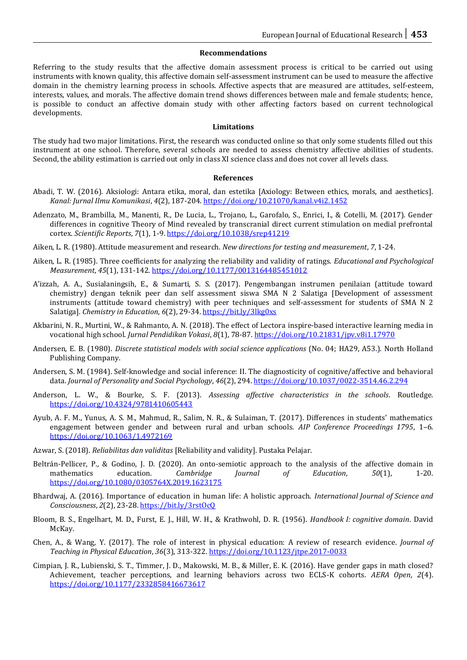#### **Recommendations**

Referring to the study results that the affective domain assessment process is critical to be carried out using instruments with known quality, this affective domain self-assessment instrument can be used to measure the affective domain in the chemistry learning process in schools. Affective aspects that are measured are attitudes, self-esteem, interests, values, and morals. The affective domain trend shows differences between male and female students; hence, is possible to conduct an affective domain study with other affecting factors based on current technological developments.

#### **Limitations**

The study had two major limitations. First, the research was conducted online so that only some students filled out this instrument at one school. Therefore, several schools are needed to assess chemistry affective abilities of students. Second, the ability estimation is carried out only in class XI science class and does not cover all levels class.

#### **References**

- Abadi, T. W. (2016). Aksiologi: Antara etika, moral, dan estetika [Axiology: Between ethics, morals, and aesthetics]. *Kanal: Jurnal Ilmu Komunikasi*, *4*(2), 187-204[. https://doi.org/10.21070/kanal.v4i2.1452](https://doi.org/10.21070/kanal.v4i2.1452)
- Adenzato, M., Brambilla, M., Manenti, R., De Lucia, L., Trojano, L., Garofalo, S., Enrici, I., & Cotelli, M. (2017). Gender differences in cognitive Theory of Mind revealed by transcranial direct current stimulation on medial prefrontal cortex. *Scientific Reports*, *7*(1), 1-9.<https://doi.org/10.1038/srep41219>

Aiken, L. R. (1980). Attitude measurement and research. *New directions for testing and measurement*, *7*, 1-24.

- Aiken, L. R. (1985). Three coefficients for analyzing the reliability and validity of ratings. *Educational and Psychological Measurement*, *45*(1), 131-142.<https://doi.org/10.1177/0013164485451012>
- A'izzah, A. A., Susialaningsih, E., & Sumarti, S. S. (2017). Pengembangan instrumen penilaian (attitude toward chemistry) dengan teknik peer dan self assessment siswa SMA N 2 Salatiga [Development of assessment instruments (attitude toward chemistry) with peer techniques and self-assessment for students of SMA N 2 Salatiga]. *Chemistry in Education*, 6(2), 29-34[. https://bit.ly/3lkg0xs](https://bit.ly/3lkg0xs)
- Akbarini, N. R., Murtini, W., & Rahmanto, A. N. (2018). The effect of Lectora inspire-based interactive learning media in vocational high school. *Jurnal Pendidikan Vokasi*, *8*(1), 78-87[. https://doi.org/10.21831/jpv.v8i1.17970](https://doi.org/10.21831/jpv.v8i1.17970)
- Andersen, E. B. (1980). *Discrete statistical models with social science applications* (No. 04; HA29, A53.). North Holland Publishing Company.
- Andersen, S. M. (1984). Self-knowledge and social inference: II. The diagnosticity of cognitive/affective and behavioral data. *Journal of Personality and Social Psychology*, *46*(2), 294[. https://doi.org/10.1037/0022-3514.46.2.294](https://doi.org/10.1037/0022-3514.46.2.294)
- Anderson, L. W., & Bourke, S. F. (2013). *Assessing affective characteristics in the schools*. Routledge. <https://doi.org/10.4324/9781410605443>
- Ayub, A. F. M., Yunus, A. S. M., Mahmud, R., Salim, N. R., & Sulaiman, T. (2017). Differences in students' mathematics engagement between gender and between rural and urban schools. *AIP Conference Proceedings 1795*, 1–6. <https://doi.org/10.1063/1.4972169>
- Azwar, S. (2018). *Reliabilitas dan validitas* [Reliability and validity]. Pustaka Pelajar.
- Beltrán-Pellicer, P., & Godino, J. D. (2020). An onto-semiotic approach to the analysis of the affective domain in mathematics education. *Cambridge Journal of Education*, *50*(1), 1-20. <https://doi.org/10.1080/0305764X.2019.1623175>
- Bhardwaj, A. (2016). Importance of education in human life: A holistic approach. *International Journal of Science and Consciousness*, *2*(2), 23-28.<https://bit.ly/3rstOcQ>
- Bloom, B. S., Engelhart, M. D., Furst, E. J., Hill, W. H., & Krathwohl, D. R. (1956). *Handbook I: cognitive domain*. David McKay.
- Chen, A., & Wang, Y. (2017). The role of interest in physical education: A review of research evidence. *Journal of Teaching in Physical Education*, *36*(3), 313-322[. https://doi.org/10.1123/jtpe.2017-0033](https://doi.org/10.1123/jtpe.2017-0033)
- Cimpian, J. R., Lubienski, S. T., Timmer, J. D., Makowski, M. B., & Miller, E. K. (2016). Have gender gaps in math closed? Achievement, teacher perceptions, and learning behaviors across two ECLS-K cohorts. *AERA Open*, *2*(4). <https://doi.org/10.1177/2332858416673617>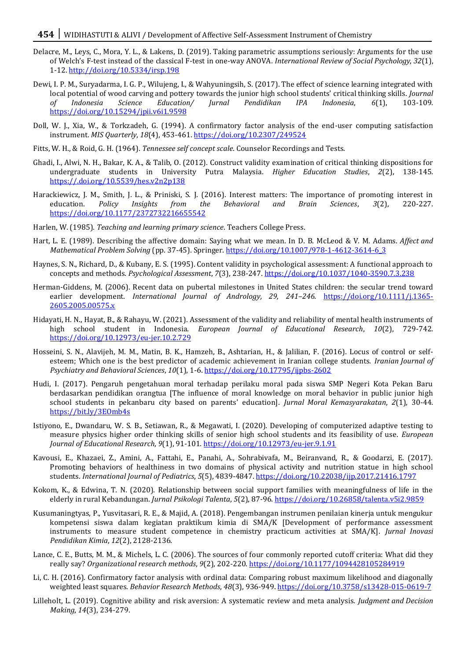- Delacre, M., Leys, C., Mora, Y. L., & Lakens, D. (2019). Taking parametric assumptions seriously: Arguments for the use of Welch's F-test instead of the classical F-test in one-way ANOVA. *International Review of Social Psychology*, *32*(1), 1-12.<http://doi.org/10.5334/irsp.198>
- Dewi, I. P. M., Suryadarma, I. G. P., Wilujeng, I., & Wahyuningsih, S. (2017). The effect of science learning integrated with local potential of wood carving and pottery towards the junior high school students' critical thinking skills. *Journal of Indonesia Science Education/ Jurnal Pendidikan IPA Indonesia*, *6*(1), 103-109. <https://doi.org/10.15294/jpii.v6i1.9598>
- Doll, W. J., Xia, W., & Torkzadeh, G. (1994). A confirmatory factor analysis of the end-user computing satisfaction instrument. *MIS Quarterly*, *18*(4), 453-461[. https://doi.org/10.2307/249524](https://doi.org/10.2307/249524)
- Fitts, W. H., & Roid, G. H. (1964). *Tennessee self concept scale*. Counselor Recordings and Tests.
- Ghadi, I., Alwi, N. H., Bakar, K. A., & Talib, O. (2012). Construct validity examination of critical thinking dispositions for undergraduate students in University Putra Malaysia. *Higher Education Studies*, *2*(2), 138-145. <https://.doi.org/10.5539/hes.v2n2p138>
- Harackiewicz, J. M., Smith, J. L., & Priniski, S. J. (2016). Interest matters: The importance of promoting interest in education. *Policy Insights from the Behavioral and Brain Sciences*, *3*(2), 220-227. <https://doi.org/10.1177/2372732216655542>
- Harlen, W. (1985). *Teaching and learning primary science*. Teachers College Press.
- Hart, L. E. (1989). Describing the affective domain: Saying what we mean. In D. B. McLeod & V. M. Adams. *Affect and Mathematical Problem Solving* (pp. 37-45). Springer. [https://doi.org/10.1007/978-1-4612-3614-6\\_3](https://doi.org/10.1007/978-1-4612-3614-6_3)
- Haynes, S. N., Richard, D., & Kubany, E. S. (1995). Content validity in psychological assessment: A functional approach to concepts and methods. *Psychological Assessment*, *7*(3), 238-247[. https://doi.org/10.1037/1040-3590.7.3.238](https://doi.org/10.1037/1040-3590.7.3.238)
- Herman-Giddens, M. (2006). Recent data on pubertal milestones in United States children: the secular trend toward earlier development. *International Journal of Andrology, 29, 241–246.* [https://doi.org/10.1111/j.1365-](https://doi.org/10.1111/j.1365-2605.2005.00575.x) [2605.2005.00575.x](https://doi.org/10.1111/j.1365-2605.2005.00575.x)
- Hidayati, H. N., Hayat, B., & Rahayu, W. (2021). Assessment of the validity and reliability of mental health instruments of high school student in Indonesia. *European Journal of Educational Research*, *10*(2), 729-742. <https://doi.org/10.12973/eu-jer.10.2.729>
- Hosseini, S. N., Alavijeh, M. M., Matin, B. K., Hamzeh, B., Ashtarian, H., & Jalilian, F. (2016). Locus of control or selfesteem; Which one is the best predictor of academic achievement in Iranian college students. *Iranian Journal of Psychiatry and Behavioral Sciences*, *10*(1), 1-6.<https://doi.org/10.17795/ijpbs-2602>
- Hudi, I. (2017). Pengaruh pengetahuan moral terhadap perilaku moral pada siswa SMP Negeri Kota Pekan Baru berdasarkan pendidikan orangtua [The influence of moral knowledge on moral behavior in public junior high school students in pekanbaru city based on parents' education]. *Jurnal Moral Kemasyarakatan*, *2*(1), 30-44. <https://bit.ly/3EOmb4s>
- Istiyono, E., Dwandaru, W. S. B., Setiawan, R., & Megawati, I. (2020). Developing of computerized adaptive testing to measure physics higher order thinking skills of senior high school students and its feasibility of use. *European Journal of Educational Research*, *9*(1), 91-101. <https://doi.org/10.12973/eu-jer.9.1.91>
- Kavousi, E., Khazaei, Z., Amini, A., Fattahi, E., Panahi, A., Sohrabivafa, M., Beiranvand, R., & Goodarzi, E. (2017). Promoting behaviors of healthiness in two domains of physical activity and nutrition statue in high school students. *International Journal of Pediatrics*, *5*(5), 4839-4847[. https://doi.org/10.22038/ijp.2017.21416.1797](https://doi.org/10.22038/ijp.2017.21416.1797)
- Kokom, K., & Edwina, T. N. (2020). Relationship between social support families with meaningfulness of life in the elderly in rural Kebandungan. *Jurnal Psikologi Talenta*, *5*(2), 87-96[. https://doi.org/10.26858/talenta.v5i2.9859](https://doi.org/10.26858/talenta.v5i2.9859)
- Kusumaningtyas, P., Yusvitasari, R. E., & Majid, A. (2018). Pengembangan instrumen penilaian kinerja untuk mengukur kompetensi siswa dalam kegiatan praktikum kimia di SMA/K [Development of performance assessment instruments to measure student competence in chemistry practicum activities at SMA/K]. *Jurnal Inovasi Pendidikan Kimia*, *12*(2), 2128-2136.
- Lance, C. E., Butts, M. M., & Michels, L. C. (2006). The sources of four commonly reported cutoff criteria: What did they really say? *Organizational research methods*, *9*(2), 202-220.<https://doi.org/10.1177/1094428105284919>
- Li, C. H. (2016). Confirmatory factor analysis with ordinal data: Comparing robust maximum likelihood and diagonally weighted least squares. *Behavior Research Methods*, *48*(3), 936-949. <https://doi.org/10.3758/s13428-015-0619-7>
- Lilleholt, L. (2019). Cognitive ability and risk aversion: A systematic review and meta analysis. *Judgment and Decision Making*, *14*(3), 234-279.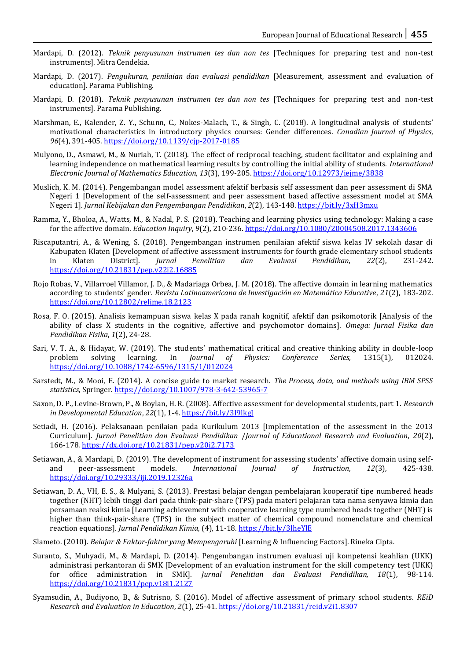- Mardapi, D. (2012). *Teknik penyusunan instrumen tes dan non tes* [Techniques for preparing test and non-test instruments]. Mitra Cendekia.
- Mardapi, D. (2017). *Pengukuran, penilaian dan evaluasi pendidikan* [Measurement, assessment and evaluation of education]. Parama Publishing.
- Mardapi, D. (2018). *Teknik penyusunan instrumen tes dan non tes* [Techniques for preparing test and non-test instruments]. Parama Publishing.
- Marshman, E., Kalender, Z. Y., Schunn, C., Nokes-Malach, T., & Singh, C. (2018). A longitudinal analysis of students' motivational characteristics in introductory physics courses: Gender differences. *Canadian Journal of Physics*, *96*(4), 391-405[. https://doi.org/10.1139/cjp-2017-0185](https://doi.org/10.1139/cjp-2017-0185)
- Mulyono, D., Asmawi, M., & Nuriah, T. (2018). The effect of reciprocal teaching, student facilitator and explaining and learning independence on mathematical learning results by controlling the initial ability of students. *International Electronic Journal of Mathematics Education*, *13*(3), 199-205[. https://doi.org/10.12973/iejme/3838](https://doi.org/10.12973/iejme/3838)
- Muslich, K. M. (2014). Pengembangan model assessment afektif berbasis self assessment dan peer assessment di SMA Negeri 1 [Development of the self-assessment and peer assessment based affective assessment model at SMA Negeri 1]. *Jurnal Kebijakan dan Pengembangan Pendidikan*, *2*(2), 143-148.<https://bit.ly/3xH3mxu>
- Ramma, Y., Bholoa, A., Watts, M., & Nadal, P. S. (2018). Teaching and learning physics using technology: Making a case for the affective domain. *Education Inquiry*, *9*(2), 210-236[. https://doi.org/10.1080/20004508.2017.1343606](https://doi.org/10.1080/20004508.2017.1343606)
- Riscaputantri, A., & Wening, S. (2018). Pengembangan instrumen penilaian afektif siswa kelas IV sekolah dasar di Kabupaten Klaten [Development of affective assessment instruments for fourth grade elementary school students in Klaten District]. *Jurnal Penelitian dan Evaluasi Pendidikan*, *22*(2), 231-242. <https://doi.org/10.21831/pep.v22i2.16885>
- Rojo Robas, V., Villarroel Villamor, J. D., & Madariaga Orbea, J. M. (2018). The affective domain in learning mathematics according to students' gender. *Revista Latinoamericana de Investigación en Matemática Educative*, *21*(2), 183-202. <https://doi.org/10.12802/relime.18.2123>
- Rosa, F. O. (2015). Analisis kemampuan siswa kelas X pada ranah kognitif, afektif dan psikomotorik [Analysis of the ability of class X students in the cognitive, affective and psychomotor domains]. *Omega: Jurnal Fisika dan Pendidikan Fisika*, *1*(2), 24-28.
- Sari, V. T. A., & Hidayat, W. (2019). The students' mathematical critical and creative thinking ability in double-loop problem solving learning. In *Journal of Physics: Conference Series*, 1315(1), 012024. problem solving learning. In *Journal of Physics: Conference Series,* 1315(1), 012024. <https://doi.org/10.1088/1742-6596/1315/1/012024>
- Sarstedt, M., & Mooi, E. (2014). A concise guide to market research. *The Process, data, and methods using IBM SPSS statistics*, Springer[. https://doi.org/10.1007/978-3-642-53965-7](https://doi.org/10.1007/978-3-642-53965-7)
- Saxon, D. P., Levine-Brown, P., & Boylan, H. R. (2008). Affective assessment for developmental students, part 1. *Research in Developmental Education*, *22*(1), 1-4[. https://bit.ly/3I9lkgJ](https://bit.ly/3I9lkgJ)
- Setiadi, H. (2016). Pelaksanaan penilaian pada Kurikulum 2013 [Implementation of the assessment in the 2013 Curriculum]. *Jurnal Penelitian dan Evaluasi Pendidikan* /*Journal of Educational Research and Evaluation*, *20*(2), 166-178[. https://dx.doi.org/10.21831/pep.v20i2.7173](https://dx.doi.org/10.21831/pep.v20i2.7173)
- Setiawan, A., & Mardapi, D. (2019). The development of instrument for assessing students' affective domain using selfand peer-assessment models. *International Journal of Instruction*, *12*(3), 425-438. <https://doi.org/10.29333/iji.2019.12326a>
- Setiawan, D. A., VH, E. S., & Mulyani, S. (2013). Prestasi belajar dengan pembelajaran kooperatif tipe numbered heads together (NHT) lebih tinggi dari pada think-pair-share (TPS) pada materi pelajaran tata nama senyawa kimia dan persamaan reaksi kimia [Learning achievement with cooperative learning type numbered heads together (NHT) is higher than think-pair-share (TPS) in the subject matter of chemical compound nomenclature and chemical reaction equations]. *Jurnal Pendidikan Kimia,* (4), 11-18[. https://bit.ly/3lheYlE](https://bit.ly/3lheYlE)
- Slameto. (2010). *Belajar & Faktor-faktor yang Mempengaruhi* [Learning & Influencing Factors]. Rineka Cipta*.*
- Suranto, S., Muhyadi, M., & Mardapi, D. (2014). Pengembangan instrumen evaluasi uji kompetensi keahlian (UKK) administrasi perkantoran di SMK [Development of an evaluation instrument for the skill competency test (UKK) for office administration in SMK]. *Jurnal Penelitian dan Evaluasi Pendidikan, 18*(1), 98-114. <https://doi.org/10.21831/pep.v18i1.2127>
- Syamsudin, A., Budiyono, B., & Sutrisno, S. (2016). Model of affective assessment of primary school students. *REiD Research and Evaluation in Education*, *2*(1), 25-41. https://doi.org/10.21831/reid.v2i1.8307